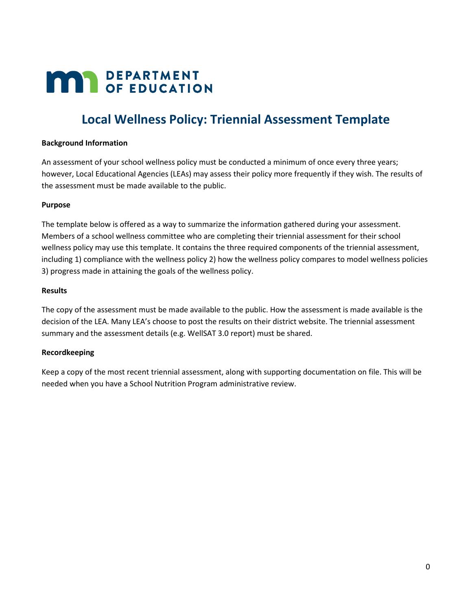# **MAY DEPARTMENT**

## **Local Wellness Policy: Triennial Assessment Template**

#### **Background Information**

 An assessment of your school wellness policy must be conducted a minimum of once every three years; however, Local Educational Agencies (LEAs) may assess their policy more frequently if they wish. The results of the assessment must be made available to the public.

#### **Purpose**

The template below is offered as a way to summarize the information gathered during your assessment. Members of a school wellness committee who are completing their triennial assessment for their school wellness policy may use this template. It contains the three required components of the triennial assessment, including 1) compliance with the wellness policy 2) how the wellness policy compares to model wellness policies 3) progress made in attaining the goals of the wellness policy.

#### **Results**

 The copy of the assessment must be made available to the public. How the assessment is made available is the decision of the LEA. Many LEA's choose to post the results on their district website. The triennial assessment summary and the assessment details (e.g. WellSAT 3.0 report) must be shared.

#### **Recordkeeping**

 Keep a copy of the most recent triennial assessment, along with supporting documentation on file. This will be needed when you have a School Nutrition Program administrative review.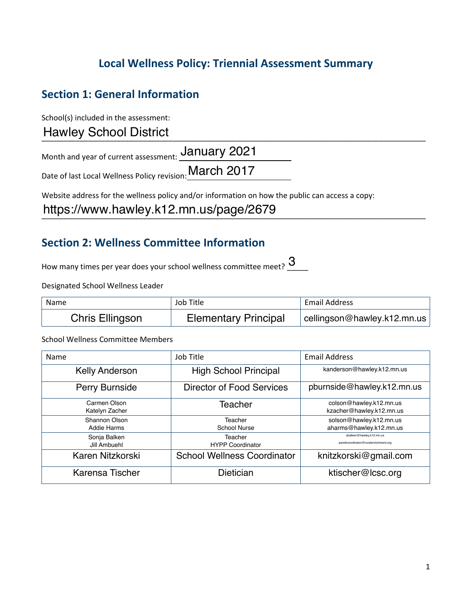## **Local Wellness Policy: Triennial Assessment Summary**

## **Section 1: General Information**

School(s) included in the assessment:

\_\_\_\_\_\_\_\_\_\_\_\_\_\_\_\_\_\_\_\_\_\_\_\_\_\_\_\_\_\_\_\_\_\_\_\_\_\_\_\_\_\_\_\_\_\_\_\_\_\_\_\_\_\_\_\_\_\_\_\_\_\_\_\_\_\_\_\_\_\_\_\_\_\_\_\_\_\_\_\_\_\_\_\_\_\_\_\_\_\_\_ Hawley School District

Month and year of current assessment: **January 2021** 

Date of last Local Wellness Policy revision: March 2017

Website address for the wellness policy and/or information on how the public can access a copy:

https://www.hawley.k12.mn.us/page/2679

### **Section 2: Wellness Committee Information**

How many times per year does your school wellness committee meet?  $\overline{\mathbf{3}}_{\cdots}$ 

Designated School Wellness Leader

| Name                   | Job Title                   | Email Address               |
|------------------------|-----------------------------|-----------------------------|
| <b>Chris Ellingson</b> | <b>Elementary Principal</b> | cellingson@hawley.k12.mn.us |

School Wellness Committee Members

| Name                           | Job Title                          | <b>Email Address</b>                                             |
|--------------------------------|------------------------------------|------------------------------------------------------------------|
| <b>Kelly Anderson</b>          | <b>High School Principal</b>       | kanderson@hawley.k12.mn.us                                       |
| Perry Burnside                 | <b>Director of Food Services</b>   | pburnside@hawley.k12.mn.us                                       |
| Carmen Olson<br>Katelyn Zacher | Teacher                            | colson@hawley.k12.mn.us<br>kzacher@hawley.k12.mn.us              |
| Shannon Olson<br>Addie Harms   | Teacher<br><b>School Nurse</b>     | solson@hawley.k12.mn.us<br>aharms@hawley.k12.mn.us               |
| Sonja Balken<br>Jill Ambuehl   | Teacher<br><b>HYPP Coordinator</b> | sbalken@hawley.k12.mn.us<br>pandicoordinator@ruralenrichment.org |
| Karen Nitzkorski               | <b>School Wellness Coordinator</b> | knitzkorski@gmail.com                                            |
| Karensa Tischer                | Dietician                          | ktischer@lcsc.org                                                |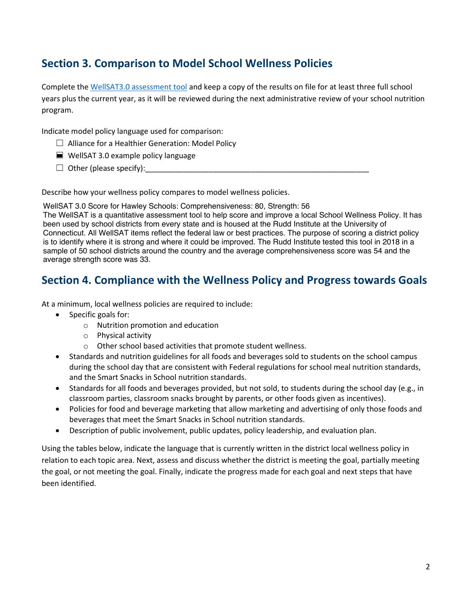## **Section 3. Comparison to Model School Wellness Policies**

Complete the WellSAT3.0 assessment tool and keep a copy of the results on file for at least three full school years plus the current year, as it will be reviewed during the next administrative review of your school nutrition program.

Indicate model policy language used for comparison:

- ☐ Alliance for a Healthier Generation: Model Policy
- ☐ WellSAT 3.0 example policy language
- ☐ Other (please specify):\_\_\_\_\_\_\_\_\_\_\_\_\_\_\_\_\_\_\_\_\_\_\_\_\_\_\_\_\_\_\_\_\_\_\_\_\_\_\_\_\_\_\_\_\_\_\_\_\_\_\_\_\_

Describe how your wellness policy compares to model wellness policies.

WellSAT 3.0 Score for Hawley Schools: Comprehensiveness: 80, Strength: 56

The WellSAT is a quantitative assessment tool to help score and improve a local School Wellness Policy. It has been used by school districts from every state and is housed at the Rudd Institute at the University of Connecticut. All WellSAT items reflect the federal law or best practices. The purpose of scoring a district policy is to identify where it is strong and where it could be improved. The Rudd Institute tested this tool in 2018 in a sample of 50 school districts around the country and the average comprehensiveness score was 54 and the average strength score was 33.

### **Section 4. Compliance with the Wellness Policy and Progress towards Goals**

At a minimum, local wellness policies are required to include:

- Specific goals for:
	- o Nutrition promotion and education
	- o Physical activity
	- o Other school based activities that promote student wellness.
- and the Smart Snacks in School nutrition standards. • Standards and nutrition guidelines for all foods and beverages sold to students on the school campus during the school day that are consistent with Federal regulations for school meal nutrition standards,
- Standards for all foods and beverages provided, but not sold, to students during the school day (e.g., in classroom parties, classroom snacks brought by parents, or other foods given as incentives).
- • Policies for food and beverage marketing that allow marketing and advertising of only those foods and beverages that meet the Smart Snacks in School nutrition standards.
- Description of public involvement, public updates, policy leadership, and evaluation plan.

 relation to each topic area. Next, assess and discuss whether the district is meeting the goal, partially meeting the goal, or not meeting the goal. Finally, indicate the progress made for each goal and next steps that have Using the tables below, indicate the language that is currently written in the district local wellness policy in been identified.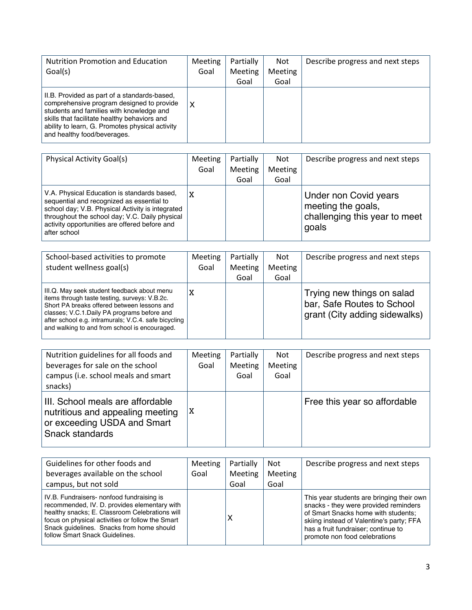| <b>Nutrition Promotion and Education</b>                                                                                                                                                                                                                                | Meeting | Partially | <b>Not</b>     | Describe progress and next steps |
|-------------------------------------------------------------------------------------------------------------------------------------------------------------------------------------------------------------------------------------------------------------------------|---------|-----------|----------------|----------------------------------|
| Goal(s)                                                                                                                                                                                                                                                                 | Goal    | Meeting   | <b>Meeting</b> |                                  |
|                                                                                                                                                                                                                                                                         |         | Goal      | Goal           |                                  |
| II.B. Provided as part of a standards-based,<br>comprehensive program designed to provide<br>students and families with knowledge and<br>skills that facilitate healthy behaviors and<br>ability to learn, G. Promotes physical activity<br>and healthy food/beverages. | X       |           |                |                                  |

| <b>Physical Activity Goal(s)</b>                                                                                                                                                                                                                                | Meeting<br>Goal | Partially<br><b>Meeting</b> | <b>Not</b><br><b>Meeting</b> | Describe progress and next steps                                                      |
|-----------------------------------------------------------------------------------------------------------------------------------------------------------------------------------------------------------------------------------------------------------------|-----------------|-----------------------------|------------------------------|---------------------------------------------------------------------------------------|
|                                                                                                                                                                                                                                                                 |                 | Goal                        | Goal                         |                                                                                       |
| V.A. Physical Education is standards based.<br>sequential and recognized as essential to<br>school day; V.B. Physical Activity is integrated<br>throughout the school day; V.C. Daily physical<br>activity opportunities are offered before and<br>after school | X               |                             |                              | Under non Covid years<br>meeting the goals,<br>challenging this year to meet<br>goals |

| School-based activities to promote<br>student wellness goal(s)                                                                                                                                                                                                                                      | Meeting<br>Goal | Partially<br><b>Meeting</b><br>Goal | <b>Not</b><br><b>Meeting</b><br>Goal | Describe progress and next steps                                                          |
|-----------------------------------------------------------------------------------------------------------------------------------------------------------------------------------------------------------------------------------------------------------------------------------------------------|-----------------|-------------------------------------|--------------------------------------|-------------------------------------------------------------------------------------------|
| III.Q. May seek student feedback about menu<br>items through taste testing, surveys: V.B.2c.<br>Short PA breaks offered between lessons and<br>classes; V.C.1.Daily PA programs before and<br>after school e.g. intramurals; V.C.4. safe bicycling<br>and walking to and from school is encouraged. | X               |                                     |                                      | Trying new things on salad<br>bar, Safe Routes to School<br>grant (City adding sidewalks) |

| Nutrition guidelines for all foods and<br>beverages for sale on the school<br>campus (i.e. school meals and smart<br>snacks)  | <b>Meeting</b><br>Goal | Partially<br>Meeting<br>Goal | <b>Not</b><br><b>Meeting</b><br>Goal | Describe progress and next steps |
|-------------------------------------------------------------------------------------------------------------------------------|------------------------|------------------------------|--------------------------------------|----------------------------------|
| III. School meals are affordable<br>nutritious and appealing meeting<br>or exceeding USDA and Smart<br><b>Snack standards</b> | ΙX                     |                              |                                      | Free this year so affordable     |

| Guidelines for other foods and                                                                                                                                                                                                                                                 | <b>Meeting</b> | Partially      | <b>Not</b> | Describe progress and next steps                                                                                                                                                                                                              |
|--------------------------------------------------------------------------------------------------------------------------------------------------------------------------------------------------------------------------------------------------------------------------------|----------------|----------------|------------|-----------------------------------------------------------------------------------------------------------------------------------------------------------------------------------------------------------------------------------------------|
| beverages available on the school                                                                                                                                                                                                                                              | Goal           | <b>Meeting</b> | Meeting    |                                                                                                                                                                                                                                               |
| campus, but not sold                                                                                                                                                                                                                                                           |                | Goal           | Goal       |                                                                                                                                                                                                                                               |
| IV.B. Fundraisers- nonfood fundraising is<br>recommended, IV. D. provides elementary with<br>healthy snacks; E. Classroom Celebrations will<br>focus on physical activities or follow the Smart<br>Snack quidelines. Snacks from home should<br>follow Smart Snack Guidelines. |                | х              |            | This year students are bringing their own<br>snacks - they were provided reminders<br>of Smart Snacks home with students;<br>skiing instead of Valentine's party; FFA<br>has a fruit fundraiser; continue to<br>promote non food celebrations |